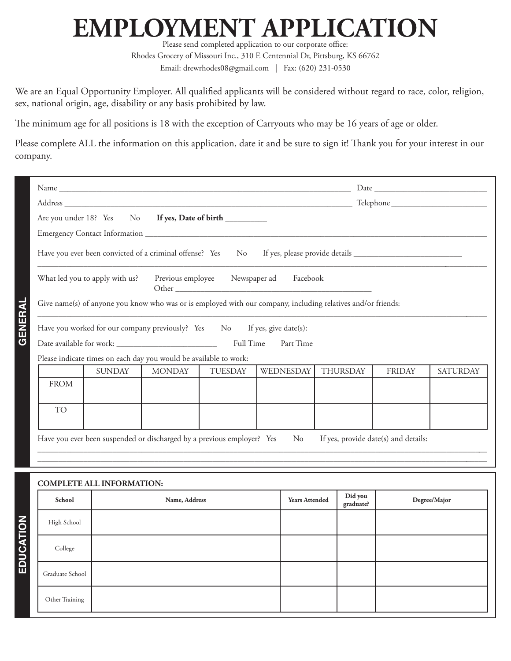## **EMPLOYMENT APPLICATION**

Please send completed application to our corporate office: Rhodes Grocery of Missouri Inc., 310 E Centennial Dr, Pittsburg, KS 66762 Email: drewrhodes08@gmail.com | Fax: (620) 231-0530

We are an Equal Opportunity Employer. All qualified applicants will be considered without regard to race, color, religion, sex, national origin, age, disability or any basis prohibited by law.

The minimum age for all positions is 18 with the exception of Carryouts who may be 16 years of age or older.

Please complete ALL the information on this application, date it and be sure to sign it! Thank you for your interest in our company.

| Are you under 18? Yes No If yes, Date of birth __________                                                    |                       |                                      |               |                 |
|--------------------------------------------------------------------------------------------------------------|-----------------------|--------------------------------------|---------------|-----------------|
|                                                                                                              |                       |                                      |               |                 |
| Have you ever been convicted of a criminal offense? Yes No                                                   |                       |                                      |               |                 |
| Previous employee Newspaper ad Facebook<br>What led you to apply with us?                                    |                       |                                      |               |                 |
| Give name(s) of anyone you know who was or is employed with our company, including relatives and/or friends: |                       |                                      |               |                 |
| Have you worked for our company previously? Yes No                                                           | If yes, give date(s): |                                      |               |                 |
| Full Time                                                                                                    | Part Time             |                                      |               |                 |
| Please indicate times on each day you would be available to work:                                            |                       |                                      |               |                 |
| <b>SUNDAY</b><br><b>MONDAY</b><br><b>TUESDAY</b>                                                             | WEDNESDAY             | <b>THURSDAY</b>                      | <b>FRIDAY</b> | <b>SATURDAY</b> |
| <b>FROM</b>                                                                                                  |                       |                                      |               |                 |
|                                                                                                              |                       |                                      |               |                 |
| <b>TO</b>                                                                                                    |                       |                                      |               |                 |
| Have you ever been suspended or discharged by a previous employer? Yes                                       | N <sub>o</sub>        | If yes, provide date(s) and details: |               |                 |
| <b>COMPLETE ALL INFORMATION:</b>                                                                             |                       |                                      |               |                 |
| School<br>Name, Address                                                                                      | <b>Years Attended</b> | Did you<br>graduate?                 |               | Degree/Major    |
| High School                                                                                                  |                       |                                      |               |                 |
| College                                                                                                      |                       |                                      |               |                 |
| Graduate School                                                                                              |                       |                                      |               |                 |
| Other Training                                                                                               |                       |                                      |               |                 |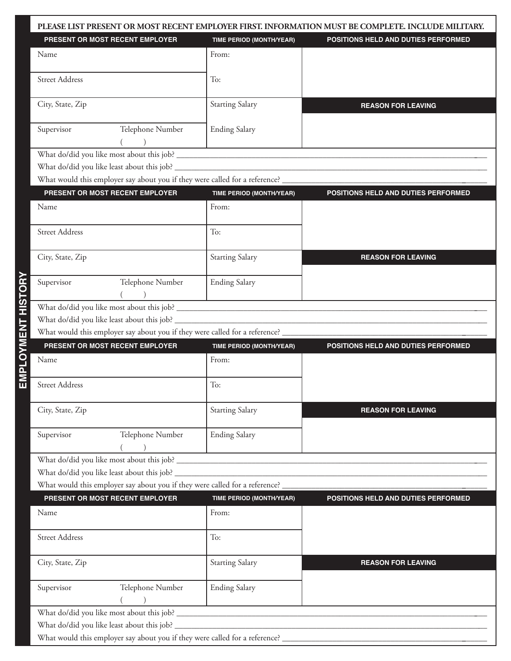|                                                                                                                |                                                                                      | PLEASE LIST PRESENT OR MOST RECENT EMPLOYER FIRST. INFORMATION MUST BE COMPLETE. INCLUDE MILITARY. |
|----------------------------------------------------------------------------------------------------------------|--------------------------------------------------------------------------------------|----------------------------------------------------------------------------------------------------|
| PRESENT OR MOST RECENT EMPLOYER                                                                                | <b>TIME PERIOD (MONTH/YEAR)</b>                                                      | POSITIONS HELD AND DUTIES PERFORMED                                                                |
| Name                                                                                                           | From:                                                                                |                                                                                                    |
| <b>Street Address</b>                                                                                          | To:                                                                                  |                                                                                                    |
| City, State, Zip                                                                                               | <b>Starting Salary</b>                                                               | <b>REASON FOR LEAVING</b>                                                                          |
| Telephone Number<br>Supervisor                                                                                 | <b>Ending Salary</b>                                                                 |                                                                                                    |
|                                                                                                                |                                                                                      |                                                                                                    |
| What do/did you like least about this job?                                                                     |                                                                                      |                                                                                                    |
| What would this employer say about you if they were called for a reference? __________________________________ |                                                                                      |                                                                                                    |
| PRESENT OR MOST RECENT EMPLOYER                                                                                | TIME PERIOD (MONTH/YEAR)                                                             | POSITIONS HELD AND DUTIES PERFORMED                                                                |
| Name                                                                                                           | From:                                                                                |                                                                                                    |
| <b>Street Address</b>                                                                                          | To:                                                                                  |                                                                                                    |
| City, State, Zip                                                                                               | <b>Starting Salary</b>                                                               | <b>REASON FOR LEAVING</b>                                                                          |
| Supervisor<br>Telephone Number                                                                                 | <b>Ending Salary</b><br>the property of the control of the control of the control of |                                                                                                    |
|                                                                                                                |                                                                                      |                                                                                                    |
|                                                                                                                |                                                                                      |                                                                                                    |
| What would this employer say about you if they were called for a reference? __                                 |                                                                                      |                                                                                                    |
| PRESENT OR MOST RECENT EMPLOYER                                                                                |                                                                                      |                                                                                                    |
|                                                                                                                | TIME PERIOD (MONTH/YEAR)                                                             | POSITIONS HELD AND DUTIES PERFORMED                                                                |
| Name                                                                                                           | From:                                                                                |                                                                                                    |
| <b>Street Address</b>                                                                                          | To:                                                                                  |                                                                                                    |
| City, State, Zip                                                                                               | <b>Starting Salary</b>                                                               | <b>REASON FOR LEAVING</b>                                                                          |
| Supervisor<br>Telephone Number                                                                                 | <b>Ending Salary</b>                                                                 |                                                                                                    |
| What would this employer say about you if they were called for a reference?                                    |                                                                                      |                                                                                                    |
| PRESENT OR MOST RECENT EMPLOYER                                                                                | TIME PERIOD (MONTH/YEAR)                                                             | POSITIONS HELD AND DUTIES PERFORMED                                                                |
| Name                                                                                                           | From:                                                                                |                                                                                                    |
| <b>Street Address</b>                                                                                          | To:                                                                                  |                                                                                                    |
| City, State, Zip                                                                                               | <b>Starting Salary</b>                                                               | <b>REASON FOR LEAVING</b>                                                                          |
| Supervisor<br>Telephone Number                                                                                 | <b>Ending Salary</b>                                                                 |                                                                                                    |
|                                                                                                                |                                                                                      |                                                                                                    |
|                                                                                                                |                                                                                      |                                                                                                    |